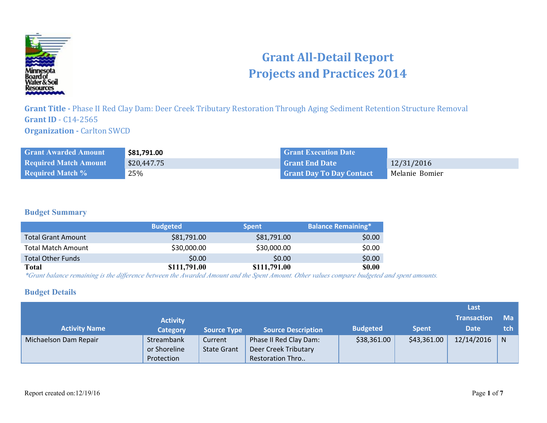

# **Grant All-Detail Report Projects and Practices 2014**

**Grant Title -** Phase II Red Clay Dam: Deer Creek Tributary Restoration Through Aging Sediment Retention Structure Removal **Grant ID** - C14-2565 **Organization - Carlton SWCD** 

| <b>Grant Awarded Amount</b>  | \$81,791.00 | <b>Grant Execution Date</b>     |                |
|------------------------------|-------------|---------------------------------|----------------|
| <b>Required Match Amount</b> | \$20,447.75 | Grant End Date                  | 12/31/2016     |
| <b>Required Match %</b>      | 25%         | <b>Grant Day To Day Contact</b> | Melanie Bomier |

### **Budget Summary**

|                           | <b>Budgeted</b> | <b>Spent</b> | <b>Balance Remaining*</b> |
|---------------------------|-----------------|--------------|---------------------------|
| <b>Total Grant Amount</b> | \$81,791.00     | \$81,791.00  | \$0.00                    |
| <b>Total Match Amount</b> | \$30,000.00     | \$30,000.00  | \$0.00                    |
| <b>Total Other Funds</b>  | \$0.00          | \$0.00       | \$0.00                    |
| Total                     | \$111,791.00    | \$111,791.00 | <b>\$0.00</b>             |

*\*Grant balance remaining is the difference between the Awarded Amount and the Spent Amount. Other values compare budgeted and spent amounts.*

#### **Budget Details**

|                       |                 |                    |                           |                 |              | Last               |              |
|-----------------------|-----------------|--------------------|---------------------------|-----------------|--------------|--------------------|--------------|
|                       | <b>Activity</b> |                    |                           |                 |              | <b>Transaction</b> | <b>Ma</b>    |
| <b>Activity Name</b>  | <b>Category</b> | <b>Source Type</b> | <b>Source Description</b> | <b>Budgeted</b> | <b>Spent</b> | <b>Date</b>        | tch.         |
| Michaelson Dam Repair | Streambank      | Current            | Phase II Red Clay Dam:    | \$38,361.00     | \$43,361.00  | 12/14/2016         | <sub>N</sub> |
|                       | or Shoreline    | <b>State Grant</b> | Deer Creek Tributary      |                 |              |                    |              |
|                       | Protection      |                    | <b>Restoration Thro</b>   |                 |              |                    |              |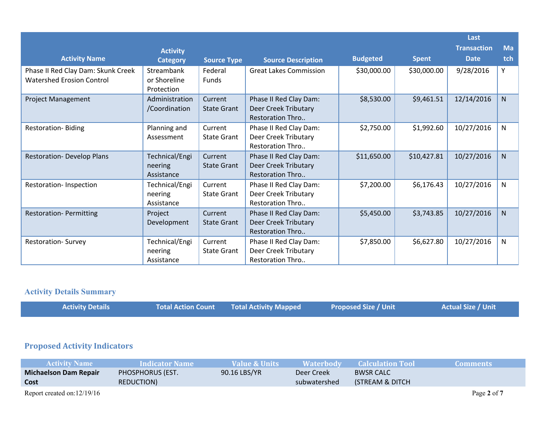|                                                                        |                                          |                               |                                                                           |                 |              | Last               |     |
|------------------------------------------------------------------------|------------------------------------------|-------------------------------|---------------------------------------------------------------------------|-----------------|--------------|--------------------|-----|
|                                                                        | <b>Activity</b>                          |                               |                                                                           |                 |              | <b>Transaction</b> | Ma  |
| <b>Activity Name</b>                                                   | <b>Category</b>                          | <b>Source Type</b>            | <b>Source Description</b>                                                 | <b>Budgeted</b> | <b>Spent</b> | <b>Date</b>        | tch |
| Phase II Red Clay Dam: Skunk Creek<br><b>Watershed Erosion Control</b> | Streambank<br>or Shoreline<br>Protection | Federal<br>Funds              | <b>Great Lakes Commission</b>                                             | \$30,000.00     | \$30,000.00  | 9/28/2016          | Y   |
| <b>Project Management</b>                                              | Administration<br>/Coordination          | Current<br><b>State Grant</b> | Phase II Red Clay Dam:<br>Deer Creek Tributary<br>Restoration Thro        | \$8,530.00      | \$9,461.51   | 12/14/2016         | N   |
| Restoration-Biding                                                     | Planning and<br>Assessment               | Current<br><b>State Grant</b> | Phase II Red Clay Dam:<br>Deer Creek Tributary<br><b>Restoration Thro</b> | \$2,750.00      | \$1,992.60   | 10/27/2016         | N   |
| <b>Restoration- Develop Plans</b>                                      | Technical/Engi<br>neering<br>Assistance  | Current<br><b>State Grant</b> | Phase II Red Clay Dam:<br>Deer Creek Tributary<br>Restoration Thro        | \$11,650.00     | \$10,427.81  | 10/27/2016         | N   |
| Restoration-Inspection                                                 | Technical/Engi<br>neering<br>Assistance  | Current<br><b>State Grant</b> | Phase II Red Clay Dam:<br>Deer Creek Tributary<br><b>Restoration Thro</b> | \$7,200.00      | \$6,176.43   | 10/27/2016         | N   |
| <b>Restoration- Permitting</b>                                         | Project<br>Development                   | Current<br><b>State Grant</b> | Phase II Red Clay Dam:<br>Deer Creek Tributary<br>Restoration Thro        | \$5,450.00      | \$3,743.85   | 10/27/2016         | N   |
| <b>Restoration- Survey</b>                                             | Technical/Engi<br>neering<br>Assistance  | Current<br><b>State Grant</b> | Phase II Red Clay Dam:<br>Deer Creek Tributary<br>Restoration Thro        | \$7,850.00      | \$6,627.80   | 10/27/2016         | N   |

### **Activity Details Summary**

| <b>Activity Details</b> | <b>Total Action Count Total Activity Mapped</b> | <b>Proposed Size / Unit</b> | <b>Actual Size / Unit</b> |
|-------------------------|-------------------------------------------------|-----------------------------|---------------------------|
|                         |                                                 |                             |                           |

# **Proposed Activity Indicators**

| <b>Activity Name</b>          | <b>Indicator Name</b> | Value & Units | Waterbody    | <b>Calculation Tool</b> | Comments :  |
|-------------------------------|-----------------------|---------------|--------------|-------------------------|-------------|
| <b>Michaelson Dam Repair</b>  | PHOSPHORUS (EST.      | 90.16 LBS/YR  | Deer Creek   | <b>BWSR CALC</b>        |             |
| Cost                          | REDUCTION)            |               | subwatershed | (STREAM & DITCH)        |             |
| Report created on: $12/19/16$ |                       |               |              |                         | Page 2 of 7 |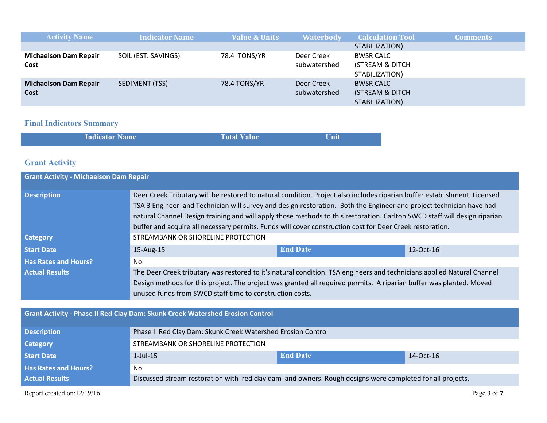| <b>Activity Name</b>                 | <b>Indicator Name</b> | <b>Value &amp; Units</b> | <b>Waterbody</b>           | <b>Calculation Tool</b>                               | <b>Comments</b> |
|--------------------------------------|-----------------------|--------------------------|----------------------------|-------------------------------------------------------|-----------------|
|                                      |                       |                          |                            | STABILIZATION)                                        |                 |
| <b>Michaelson Dam Repair</b><br>Cost | SOIL (EST. SAVINGS)   | 78.4 TONS/YR             | Deer Creek<br>subwatershed | BWSR CALC<br>(STREAM & DITCH<br>STABILIZATION)        |                 |
| <b>Michaelson Dam Repair</b><br>Cost | SEDIMENT (TSS)        | 78.4 TONS/YR             | Deer Creek<br>subwatershed | <b>BWSR CALC</b><br>(STREAM & DITCH<br>STABILIZATION) |                 |

## **Final Indicators Summary**

| <b>Indicator Name</b> | <b>Total Value</b> | Unit |
|-----------------------|--------------------|------|
|                       |                    |      |

## **Grant Activity**

| <b>Grant Activity - Michaelson Dam Repair</b> |                                                                                                                                                                                                                                                                                                                                                                                                                                                                                           |                 |           |  |  |
|-----------------------------------------------|-------------------------------------------------------------------------------------------------------------------------------------------------------------------------------------------------------------------------------------------------------------------------------------------------------------------------------------------------------------------------------------------------------------------------------------------------------------------------------------------|-----------------|-----------|--|--|
| <b>Description</b>                            | Deer Creek Tributary will be restored to natural condition. Project also includes riparian buffer establishment. Licensed<br>TSA 3 Engineer and Technician will survey and design restoration. Both the Engineer and project technician have had<br>natural Channel Design training and will apply those methods to this restoration. Carlton SWCD staff will design riparian<br>buffer and acquire all necessary permits. Funds will cover construction cost for Deer Creek restoration. |                 |           |  |  |
| <b>Category</b>                               | STREAMBANK OR SHORELINE PROTECTION                                                                                                                                                                                                                                                                                                                                                                                                                                                        |                 |           |  |  |
| <b>Start Date</b>                             | 15-Aug-15                                                                                                                                                                                                                                                                                                                                                                                                                                                                                 | <b>End Date</b> | 12-Oct-16 |  |  |
| <b>Has Rates and Hours?</b>                   | N <sub>0</sub>                                                                                                                                                                                                                                                                                                                                                                                                                                                                            |                 |           |  |  |
| <b>Actual Results</b>                         | The Deer Creek tributary was restored to it's natural condition. TSA engineers and technicians applied Natural Channel                                                                                                                                                                                                                                                                                                                                                                    |                 |           |  |  |
|                                               | Design methods for this project. The project was granted all required permits. A riparian buffer was planted. Moved<br>unused funds from SWCD staff time to construction costs.                                                                                                                                                                                                                                                                                                           |                 |           |  |  |

### **Grant Activity - Phase II Red Clay Dam: Skunk Creek Watershed Erosion Control**

| <b>Description</b>          | Phase II Red Clay Dam: Skunk Creek Watershed Erosion Control                                               |                 |           |  |
|-----------------------------|------------------------------------------------------------------------------------------------------------|-----------------|-----------|--|
| <b>Category</b>             | STREAMBANK OR SHORELINE PROTECTION                                                                         |                 |           |  |
| <b>Start Date</b>           | $1$ -Jul- $15$                                                                                             | <b>End Date</b> | 14-Oct-16 |  |
| <b>Has Rates and Hours?</b> | No                                                                                                         |                 |           |  |
| <b>Actual Results</b>       | Discussed stream restoration with red clay dam land owners. Rough designs were completed for all projects. |                 |           |  |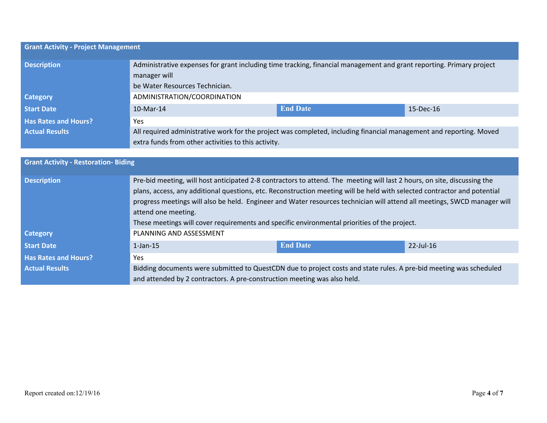| <b>Grant Activity - Project Management</b> |                                                                                                                                                                            |                 |           |
|--------------------------------------------|----------------------------------------------------------------------------------------------------------------------------------------------------------------------------|-----------------|-----------|
| <b>Description</b>                         | Administrative expenses for grant including time tracking, financial management and grant reporting. Primary project<br>manager will<br>be Water Resources Technician.     |                 |           |
| <b>Category</b>                            | ADMINISTRATION/COORDINATION                                                                                                                                                |                 |           |
| <b>Start Date</b>                          | $10$ -Mar-14                                                                                                                                                               | <b>End Date</b> | 15-Dec-16 |
| <b>Has Rates and Hours?</b>                | <b>Yes</b>                                                                                                                                                                 |                 |           |
| <b>Actual Results</b>                      | All required administrative work for the project was completed, including financial management and reporting. Moved<br>extra funds from other activities to this activity. |                 |           |

| <b>Grant Activity - Restoration- Biding</b> |                                                                                                                                                                                                                                                                                                                                                                                                                                                                                                         |                 |              |
|---------------------------------------------|---------------------------------------------------------------------------------------------------------------------------------------------------------------------------------------------------------------------------------------------------------------------------------------------------------------------------------------------------------------------------------------------------------------------------------------------------------------------------------------------------------|-----------------|--------------|
| <b>Description</b>                          | Pre-bid meeting, will host anticipated 2-8 contractors to attend. The meeting will last 2 hours, on site, discussing the<br>plans, access, any additional questions, etc. Reconstruction meeting will be held with selected contractor and potential<br>progress meetings will also be held. Engineer and Water resources technician will attend all meetings, SWCD manager will<br>attend one meeting.<br>These meetings will cover requirements and specific environmental priorities of the project. |                 |              |
| <b>Category</b>                             | PLANNING AND ASSESSMENT                                                                                                                                                                                                                                                                                                                                                                                                                                                                                 |                 |              |
| <b>Start Date</b>                           | $1$ -Jan- $15$                                                                                                                                                                                                                                                                                                                                                                                                                                                                                          | <b>End Date</b> | $22$ -Jul-16 |
| <b>Has Rates and Hours?</b>                 | <b>Yes</b>                                                                                                                                                                                                                                                                                                                                                                                                                                                                                              |                 |              |
| <b>Actual Results</b>                       | Bidding documents were submitted to QuestCDN due to project costs and state rules. A pre-bid meeting was scheduled<br>and attended by 2 contractors. A pre-construction meeting was also held.                                                                                                                                                                                                                                                                                                          |                 |              |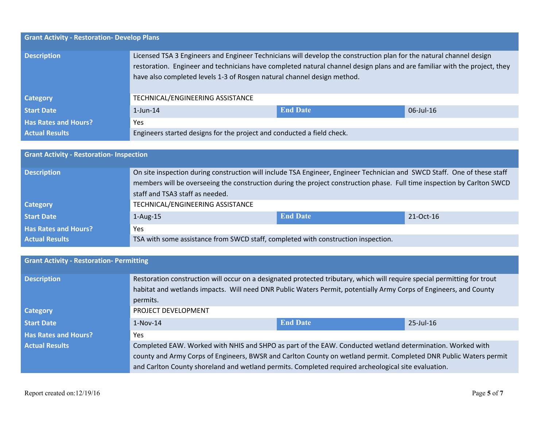| <b>Grant Activity - Restoration- Develop Plans</b> |                                                                                                                                                                                                                                                                                                                             |                 |              |
|----------------------------------------------------|-----------------------------------------------------------------------------------------------------------------------------------------------------------------------------------------------------------------------------------------------------------------------------------------------------------------------------|-----------------|--------------|
| <b>Description</b>                                 | Licensed TSA 3 Engineers and Engineer Technicians will develop the construction plan for the natural channel design<br>restoration. Engineer and technicians have completed natural channel design plans and are familiar with the project, they<br>have also completed levels 1-3 of Rosgen natural channel design method. |                 |              |
| <b>Category</b>                                    | TECHNICAL/ENGINEERING ASSISTANCE                                                                                                                                                                                                                                                                                            |                 |              |
| <b>Start Date</b>                                  | $1$ -Jun- $14$                                                                                                                                                                                                                                                                                                              | <b>End Date</b> | $06$ -Jul-16 |
| <b>Has Rates and Hours?</b>                        | Yes                                                                                                                                                                                                                                                                                                                         |                 |              |
| <b>Actual Results</b>                              | Engineers started designs for the project and conducted a field check.                                                                                                                                                                                                                                                      |                 |              |

| <b>Grant Activity - Restoration- Inspection</b> |                                                                                                                                                                                                                                                                                        |                 |           |
|-------------------------------------------------|----------------------------------------------------------------------------------------------------------------------------------------------------------------------------------------------------------------------------------------------------------------------------------------|-----------------|-----------|
| <b>Description</b>                              | On site inspection during construction will include TSA Engineer, Engineer Technician and SWCD Staff. One of these staff<br>members will be overseeing the construction during the project construction phase. Full time inspection by Carlton SWCD<br>staff and TSA3 staff as needed. |                 |           |
| <b>Category</b>                                 | TECHNICAL/ENGINEERING ASSISTANCE                                                                                                                                                                                                                                                       |                 |           |
| Start Date                                      | $1-Aug-15$                                                                                                                                                                                                                                                                             | <b>End Date</b> | 21-Oct-16 |
| <b>Has Rates and Hours?</b>                     | <b>Yes</b>                                                                                                                                                                                                                                                                             |                 |           |
| <b>Actual Results</b>                           | TSA with some assistance from SWCD staff, completed with construction inspection.                                                                                                                                                                                                      |                 |           |

| <b>Grant Activity - Restoration- Permitting</b> |                                                                                                                                                                                                                                               |                 |              |
|-------------------------------------------------|-----------------------------------------------------------------------------------------------------------------------------------------------------------------------------------------------------------------------------------------------|-----------------|--------------|
| <b>Description</b>                              | Restoration construction will occur on a designated protected tributary, which will require special permitting for trout<br>habitat and wetlands impacts. Will need DNR Public Waters Permit, potentially Army Corps of Engineers, and County |                 |              |
|                                                 | permits.                                                                                                                                                                                                                                      |                 |              |
| <b>Category</b>                                 | PROJECT DEVELOPMENT                                                                                                                                                                                                                           |                 |              |
| <b>Start Date</b>                               | $1-Nov-14$                                                                                                                                                                                                                                    | <b>End Date</b> | $25$ -Jul-16 |
| <b>Has Rates and Hours?</b>                     | <b>Yes</b>                                                                                                                                                                                                                                    |                 |              |
| <b>Actual Results</b>                           | Completed EAW. Worked with NHIS and SHPO as part of the EAW. Conducted wetland determination. Worked with                                                                                                                                     |                 |              |
|                                                 | county and Army Corps of Engineers, BWSR and Carlton County on wetland permit. Completed DNR Public Waters permit                                                                                                                             |                 |              |
|                                                 | and Carlton County shoreland and wetland permits. Completed required archeological site evaluation.                                                                                                                                           |                 |              |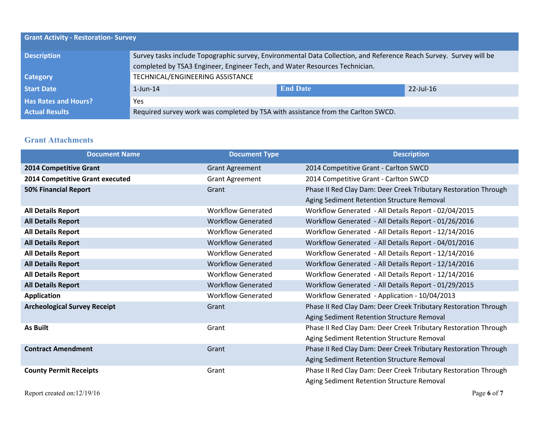| <b>Grant Activity - Restoration- Survey</b> |                                                                                                                                                                                                  |                 |              |
|---------------------------------------------|--------------------------------------------------------------------------------------------------------------------------------------------------------------------------------------------------|-----------------|--------------|
| <b>Description</b>                          | Survey tasks include Topographic survey, Environmental Data Collection, and Reference Reach Survey. Survey will be<br>completed by TSA3 Engineer, Engineer Tech, and Water Resources Technician. |                 |              |
| <b>Category</b>                             | TECHNICAL/ENGINEERING ASSISTANCE                                                                                                                                                                 |                 |              |
| <b>Start Date</b>                           | $1$ -Jun- $14$                                                                                                                                                                                   | <b>End Date</b> | $22$ -Jul-16 |
| <b>Has Rates and Hours?</b>                 | <b>Yes</b>                                                                                                                                                                                       |                 |              |
| <b>Actual Results</b>                       | Required survey work was completed by TSA with assistance from the Carlton SWCD.                                                                                                                 |                 |              |

### **Grant Attachments**

| <b>Document Name</b>                | <b>Document Type</b>      | <b>Description</b>                                              |
|-------------------------------------|---------------------------|-----------------------------------------------------------------|
| 2014 Competitive Grant              | <b>Grant Agreement</b>    | 2014 Competitive Grant - Carlton SWCD                           |
| 2014 Competitive Grant executed     | <b>Grant Agreement</b>    | 2014 Competitive Grant - Carlton SWCD                           |
| <b>50% Financial Report</b>         | Grant                     | Phase II Red Clay Dam: Deer Creek Tributary Restoration Through |
|                                     |                           | Aging Sediment Retention Structure Removal                      |
| <b>All Details Report</b>           | <b>Workflow Generated</b> | Workflow Generated - All Details Report - 02/04/2015            |
| <b>All Details Report</b>           | <b>Workflow Generated</b> | Workflow Generated - All Details Report - 01/26/2016            |
| <b>All Details Report</b>           | <b>Workflow Generated</b> | Workflow Generated - All Details Report - 12/14/2016            |
| <b>All Details Report</b>           | <b>Workflow Generated</b> | Workflow Generated - All Details Report - 04/01/2016            |
| <b>All Details Report</b>           | <b>Workflow Generated</b> | Workflow Generated - All Details Report - 12/14/2016            |
| <b>All Details Report</b>           | <b>Workflow Generated</b> | Workflow Generated - All Details Report - 12/14/2016            |
| <b>All Details Report</b>           | <b>Workflow Generated</b> | Workflow Generated - All Details Report - 12/14/2016            |
| <b>All Details Report</b>           | <b>Workflow Generated</b> | Workflow Generated - All Details Report - 01/29/2015            |
| <b>Application</b>                  | <b>Workflow Generated</b> | Workflow Generated - Application - 10/04/2013                   |
| <b>Archeological Survey Receipt</b> | Grant                     | Phase II Red Clay Dam: Deer Creek Tributary Restoration Through |
|                                     |                           | Aging Sediment Retention Structure Removal                      |
| <b>As Built</b>                     | Grant                     | Phase II Red Clay Dam: Deer Creek Tributary Restoration Through |
|                                     |                           | Aging Sediment Retention Structure Removal                      |
| <b>Contract Amendment</b>           | Grant                     | Phase II Red Clay Dam: Deer Creek Tributary Restoration Through |
|                                     |                           | Aging Sediment Retention Structure Removal                      |
| <b>County Permit Receipts</b>       | Grant                     | Phase II Red Clay Dam: Deer Creek Tributary Restoration Through |
|                                     |                           | Aging Sediment Retention Structure Removal                      |